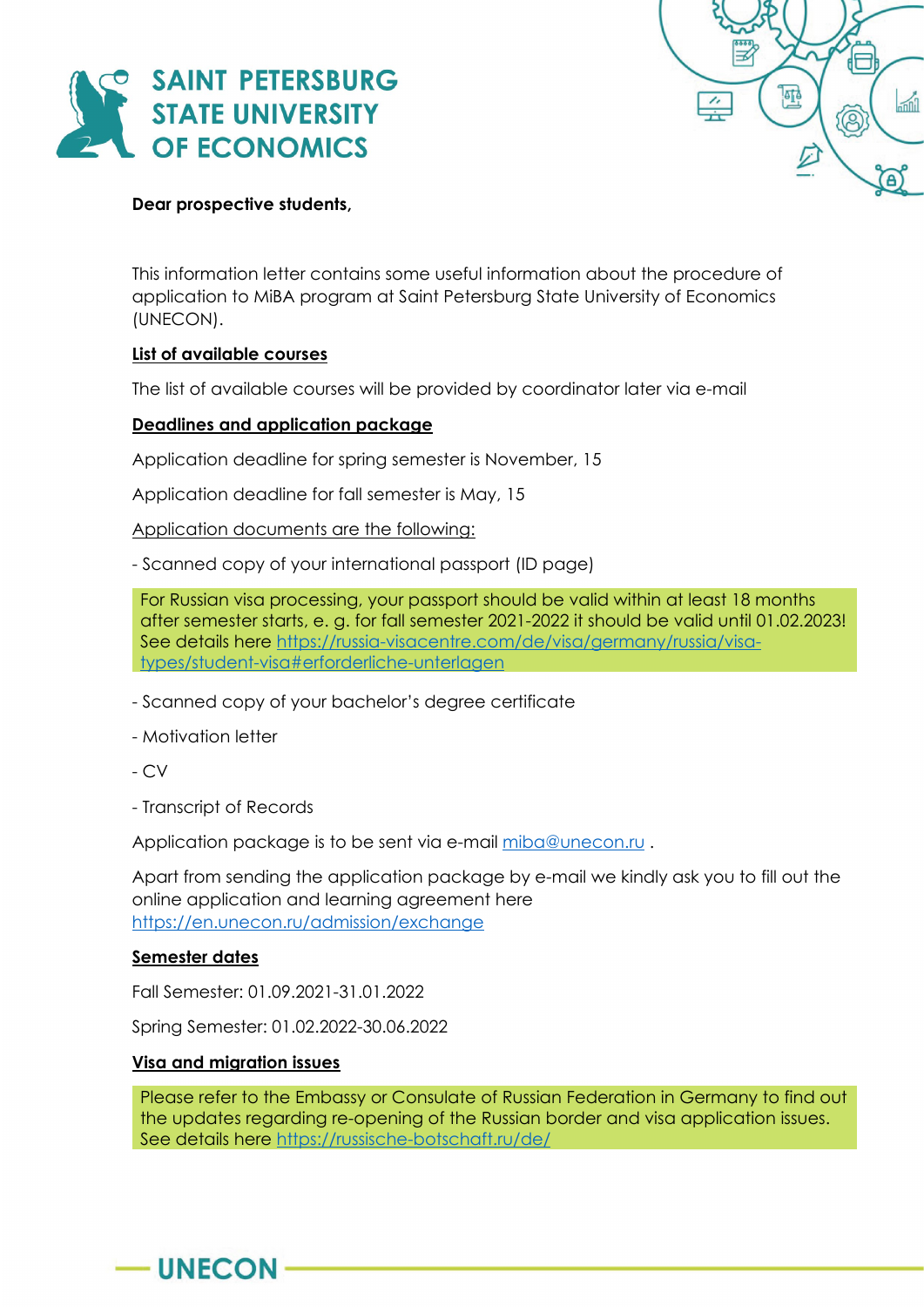



### **Dear prospective students,**

This information letter contains some useful information about the procedure of application to MiBA program at Saint Petersburg State University of Economics (UNECON).

### **List of available courses**

The list of available courses will be provided by coordinator later via e-mail

### **Deadlines and application package**

Application deadline for spring semester is November, 15

Application deadline for fall semester is May, 15

Application documents are the following:

- Scanned copy of your international passport (ID page)

For Russian visa processing, your passport should be valid within at least 18 months after semester starts, e. g. for fall semester 2021-2022 it should be valid until 01.02.2023! See details here [https://russia-visacentre.com/de/visa/germany/russia/visa](https://russia-visacentre.com/de/visa/germany/russia/visa-types/student-visa#erforderliche-unterlagen)[types/student-visa#erforderliche-unterlagen](https://russia-visacentre.com/de/visa/germany/russia/visa-types/student-visa#erforderliche-unterlagen)

- Scanned copy of your bachelor's degree certificate

- Motivation letter

- CV
- Transcript of Records

Application package is to be sent via e-mail [miba@unecon.ru](mailto:miba@unecon.ru).

Apart from sending the application package by e-mail we kindly ask you to fill out the online application and learning agreement here <https://en.unecon.ru/admission/exchange>

### **Semester dates**

 $-$ UNECON-

Fall Semester: 01.09.2021-31.01.2022

Spring Semester: 01.02.2022-30.06.2022

### **Visa and migration issues**

Please refer to the Embassy or Consulate of Russian Federation in Germany to find out the updates regarding re-opening of the Russian border and visa application issues. See details here<https://russische-botschaft.ru/de/>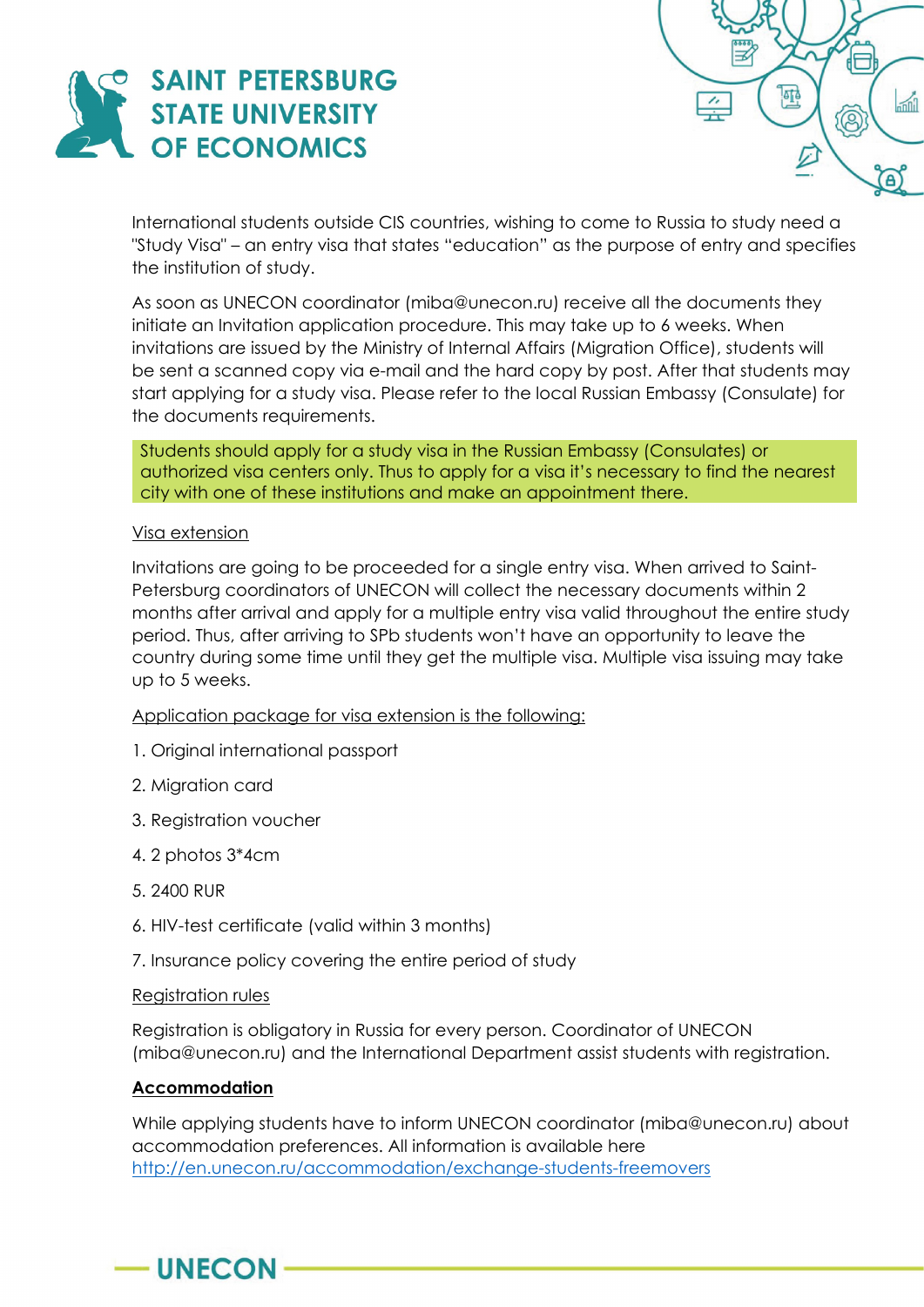



International students outside CIS countries, wishing to come to Russia to study need a "Study Visa" – an entry visa that states "education" as the purpose of entry and specifies the institution of study.

As soon as UNECON coordinator (miba@unecon.ru) receive all the documents they initiate an Invitation application procedure. This may take up to 6 weeks. When invitations are issued by the Ministry of Internal Affairs (Migration Office), students will be sent a scanned copy via e-mail and the hard copy by post. After that students may start applying for a study visa. Please refer to the local Russian Embassy (Consulate) for the documents requirements.

Students should apply for a study visa in the Russian Embassy (Consulates) or authorized visa centers only. Thus to apply for a visa it's necessary to find the nearest city with one of these institutions and make an appointment there.

### Visa extension

Invitations are going to be proceeded for a single entry visa. When arrived to Saint-Petersburg coordinators of UNECON will collect the necessary documents within 2 months after arrival and apply for a multiple entry visa valid throughout the entire study period. Thus, after arriving to SPb students won't have an opportunity to leave the country during some time until they get the multiple visa. Multiple visa issuing may take up to 5 weeks.

Application package for visa extension is the following:

- 1. Original international passport
- 2. Migration card
- 3. Registration voucher
- 4. 2 photos 3\*4cm
- 5. 2400 RUR
- 6. HIV-test certificate (valid within 3 months)
- 7. Insurance policy covering the entire period of study

### Registration rules

Registration is obligatory in Russia for every person. Coordinator of UNECON (miba@unecon.ru) and the International Department assist students with registration.

# **Accommodation**

 $-$  UNECON

While applying students have to inform UNECON coordinator (miba@unecon.ru) about accommodation preferences. All information is available here <http://en.unecon.ru/accommodation/exchange-students-freemovers>